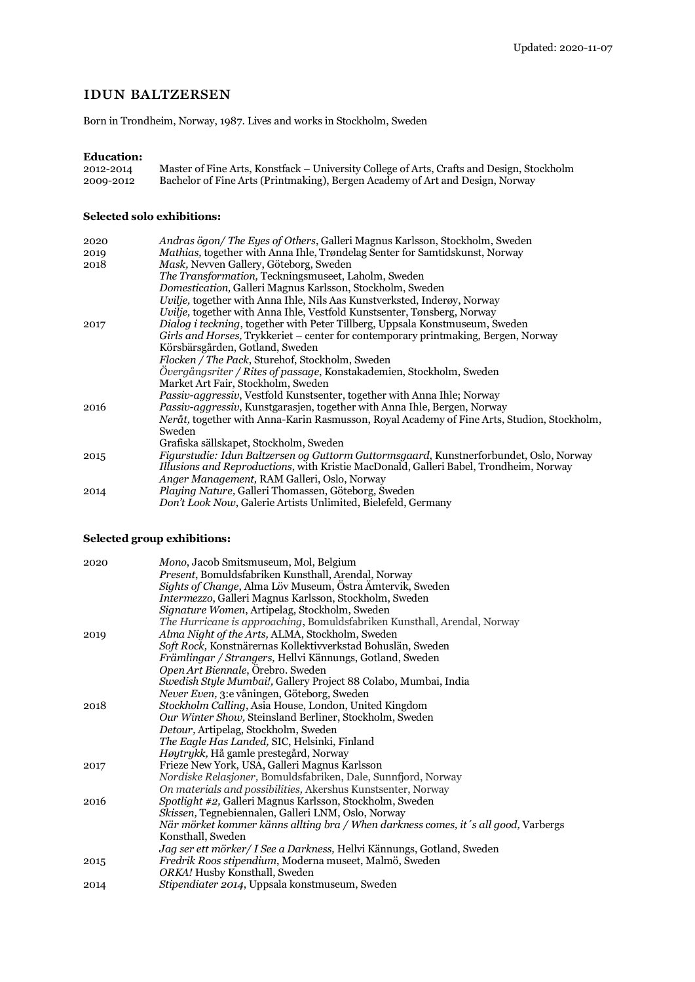# idun baltzersen

Born in Trondheim, Norway, 1987. Lives and works in Stockholm, Sweden

## **Education:**

| 2012-2014 | Master of Fine Arts, Konstfack – University College of Arts, Crafts and Design, Stockholm |
|-----------|-------------------------------------------------------------------------------------------|
| 2009-2012 | Bachelor of Fine Arts (Printmaking), Bergen Academy of Art and Design, Norway             |

## **Selected solo exhibitions:**

| 2020 | Andras ögon/The Eyes of Others, Galleri Magnus Karlsson, Stockholm, Sweden                 |
|------|--------------------------------------------------------------------------------------------|
| 2019 | <i>Mathias, together with Anna Ihle, Trøndelag Senter for Samtidskunst, Norway</i>         |
| 2018 | Mask, Nevven Gallery, Göteborg, Sweden                                                     |
|      | The Transformation, Teckningsmuseet, Laholm, Sweden                                        |
|      | Domestication, Galleri Magnus Karlsson, Stockholm, Sweden                                  |
|      | Uvilje, together with Anna Ihle, Nils Aas Kunstverksted, Inderøy, Norway                   |
|      | Uvilje, together with Anna Ihle, Vestfold Kunstsenter, Tønsberg, Norway                    |
| 2017 | <i>Dialog i teckning</i> , together with Peter Tillberg, Uppsala Konstmuseum, Sweden       |
|      | Girls and Horses, Trykkeriet – center for contemporary printmaking, Bergen, Norway         |
|      | Körsbärsgården, Gotland, Sweden                                                            |
|      | Flocken / The Pack, Sturehof, Stockholm, Sweden                                            |
|      | Övergångsriter / Rites of passage, Konstakademien, Stockholm, Sweden                       |
|      | Market Art Fair, Stockholm, Sweden                                                         |
|      | <i>Passiv-aggressiv</i> , Vestfold Kunstsenter, together with Anna Ihle; Norway            |
| 2016 | Passiv-aggressiv, Kunstgarasjen, together with Anna Ihle, Bergen, Norway                   |
|      | Neråt, together with Anna-Karin Rasmusson, Royal Academy of Fine Arts, Studion, Stockholm, |
|      | Sweden                                                                                     |
|      | Grafiska sällskapet, Stockholm, Sweden                                                     |
|      | Figurstudie: Idun Baltzersen og Guttorm Guttormsgaard, Kunstnerforbundet, Oslo, Norway     |
| 2015 |                                                                                            |
|      | Illusions and Reproductions, with Kristie MacDonald, Galleri Babel, Trondheim, Norway      |
|      | Anger Management, RAM Galleri, Oslo, Norway                                                |
| 2014 | Playing Nature, Galleri Thomassen, Göteborg, Sweden                                        |
|      | Don't Look Now, Galerie Artists Unlimited, Bielefeld, Germany                              |

## **Selected group exhibitions:**

| 2020 | Mono, Jacob Smitsmuseum, Mol, Belgium                                               |
|------|-------------------------------------------------------------------------------------|
|      | <i>Present</i> , Bomuldsfabriken Kunsthall, Arendal, Norway                         |
|      | Sights of Change, Alma Löv Museum, Östra Ämtervik, Sweden                           |
|      | Intermezzo, Galleri Magnus Karlsson, Stockholm, Sweden                              |
|      | Signature Women, Artipelag, Stockholm, Sweden                                       |
|      | The Hurricane is approaching, Bomuldsfabriken Kunsthall, Arendal, Norway            |
| 2019 | Alma Night of the Arts, ALMA, Stockholm, Sweden                                     |
|      | Soft Rock, Konstnärernas Kollektivverkstad Bohuslän, Sweden                         |
|      | Främlingar / Strangers, Hellvi Kännungs, Gotland, Sweden                            |
|      | Open Art Biennale, Örebro. Sweden                                                   |
|      | Swedish Style Mumbai!, Gallery Project 88 Colabo, Mumbai, India                     |
|      | Never Even, 3:e våningen, Göteborg, Sweden                                          |
| 2018 | Stockholm Calling, Asia House, London, United Kingdom                               |
|      | Our Winter Show, Steinsland Berliner, Stockholm, Sweden                             |
|      | Detour, Artipelag, Stockholm, Sweden                                                |
|      | <i>The Eagle Has Landed, SIC, Helsinki, Finland</i>                                 |
|      | Høytrykk, Hå gamle prestegård, Norway                                               |
| 2017 | Frieze New York, USA, Galleri Magnus Karlsson                                       |
|      | Nordiske Relasjoner, Bomuldsfabriken, Dale, Sunnfjord, Norway                       |
|      | On materials and possibilities, Akershus Kunstsenter, Norway                        |
| 2016 | Spotlight #2, Galleri Magnus Karlsson, Stockholm, Sweden                            |
|      | Skissen, Tegnebiennalen, Galleri LNM, Oslo, Norway                                  |
|      | När mörket kommer känns allting bra / When darkness comes, it 's all good, Varbergs |
|      | Konsthall, Sweden                                                                   |
|      | Jag ser ett mörker/ I See a Darkness, Hellvi Kännungs, Gotland, Sweden              |
| 2015 | Fredrik Roos stipendium, Moderna museet, Malmö, Sweden                              |
|      | ORKA! Husby Konsthall, Sweden                                                       |
| 2014 | Stipendiater 2014, Uppsala konstmuseum, Sweden                                      |
|      |                                                                                     |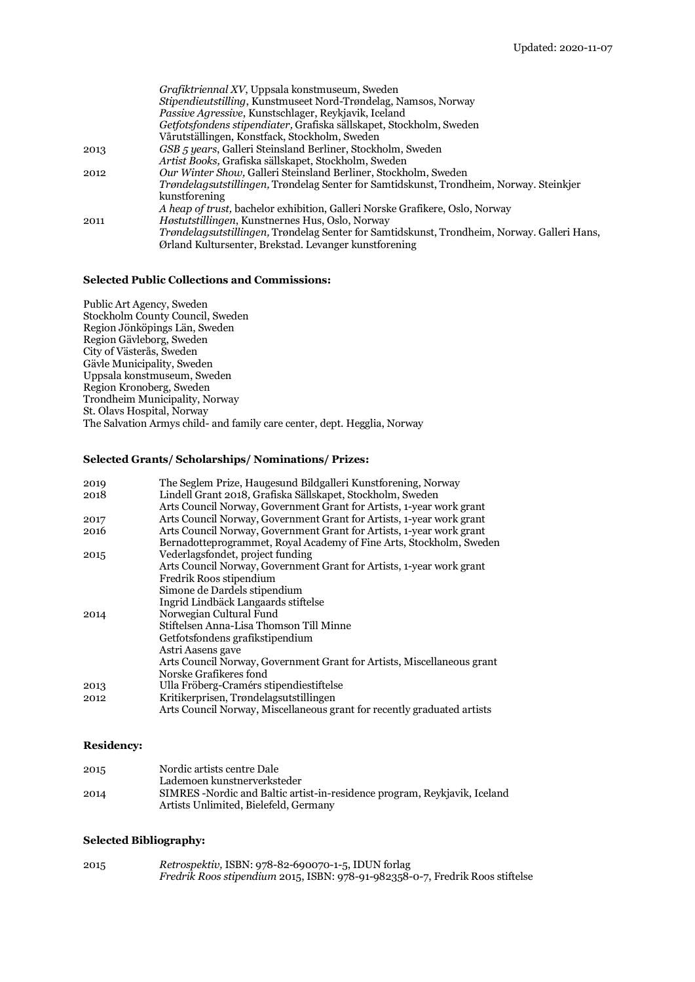|      | Grafiktriennal XV, Uppsala konstmuseum, Sweden                                                  |
|------|-------------------------------------------------------------------------------------------------|
|      | <i>Stipendieutstilling</i> , Kunstmuseet Nord-Trøndelag, Namsos, Norway                         |
|      | <i>Passive Agressive, Kunstschlager, Reykjavik, Iceland</i>                                     |
|      | Getfotsfondens stipendiater, Grafiska sällskapet, Stockholm, Sweden                             |
|      | Vårutställingen, Konstfack, Stockholm, Sweden                                                   |
| 2013 | GSB 5 years, Galleri Steinsland Berliner, Stockholm, Sweden                                     |
|      | Artist Books, Grafiska sällskapet, Stockholm, Sweden                                            |
| 2012 | Our Winter Show, Galleri Steinsland Berliner, Stockholm, Sweden                                 |
|      | <i>Trøndelagsutstillingen</i> , Trøndelag Senter for Samtidskunst, Trondheim, Norway. Steinkjer |
|      | <b>kunstforening</b>                                                                            |
|      | A heap of trust, bachelor exhibition, Galleri Norske Grafikere, Oslo, Norway                    |
| 2011 | <i>Høstutstillingen</i> , Kunstnernes Hus, Oslo, Norway                                         |
|      | Trøndelagsutstillingen, Trøndelag Senter for Samtidskunst, Trondheim, Norway. Galleri Hans,     |
|      | Ørland Kultursenter, Brekstad. Levanger kunstforening                                           |

## **Selected Public Collections and Commissions:**

Public Art Agency, Sweden Stockholm County Council, Sweden Region Jönköpings Län, Sweden Region Gävleborg, Sweden City of Västerås, Sweden Gävle Municipality, Sweden Uppsala konstmuseum, Sweden Region Kronoberg, Sweden Trondheim Municipality, Norway St. Olavs Hospital, Norway The Salvation Armys child- and family care center, dept. Hegglia, Norway

## **Selected Grants/ Scholarships/ Nominations/ Prizes:**

| 2019 | The Seglem Prize, Haugesund Bildgalleri Kunstforening, Norway           |
|------|-------------------------------------------------------------------------|
| 2018 | Lindell Grant 2018, Grafiska Sällskapet, Stockholm, Sweden              |
|      | Arts Council Norway, Government Grant for Artists, 1-year work grant    |
| 2017 | Arts Council Norway, Government Grant for Artists, 1-year work grant    |
| 2016 | Arts Council Norway, Government Grant for Artists, 1-year work grant    |
|      | Bernadotteprogrammet, Royal Academy of Fine Arts, Stockholm, Sweden     |
| 2015 | Vederlagsfondet, project funding                                        |
|      | Arts Council Norway, Government Grant for Artists, 1-year work grant    |
|      | Fredrik Roos stipendium                                                 |
|      | Simone de Dardels stipendium                                            |
|      | Ingrid Lindbäck Langaards stiftelse                                     |
| 2014 | Norwegian Cultural Fund                                                 |
|      | Stiftelsen Anna-Lisa Thomson Till Minne                                 |
|      | Getfotsfondens grafikstipendium                                         |
|      | Astri Aasens gave                                                       |
|      | Arts Council Norway, Government Grant for Artists, Miscellaneous grant  |
|      | Norske Grafikeres fond                                                  |
| 2013 | Ulla Fröberg-Cramérs stipendiestiftelse                                 |
| 2012 | Kritikerprisen, Trøndelagsutstillingen                                  |
|      | Arts Council Norway, Miscellaneous grant for recently graduated artists |

## **Residency:**

| 2015 | Nordic artists centre Dale                                                 |
|------|----------------------------------------------------------------------------|
|      | Lademoen kunstnerverksteder                                                |
| 2014 | SIMRES - Nordic and Baltic artist-in-residence program, Reykjavik, Iceland |
|      | Artists Unlimited, Bielefeld, Germany                                      |

## **Selected Bibliography:**

| 2015 | Retrospektiv, ISBN: 978-82-690070-1-5, IDUN forlag                            |
|------|-------------------------------------------------------------------------------|
|      | Fredrik Roos stipendium 2015, ISBN: 978-91-982358-0-7, Fredrik Roos stiftelse |